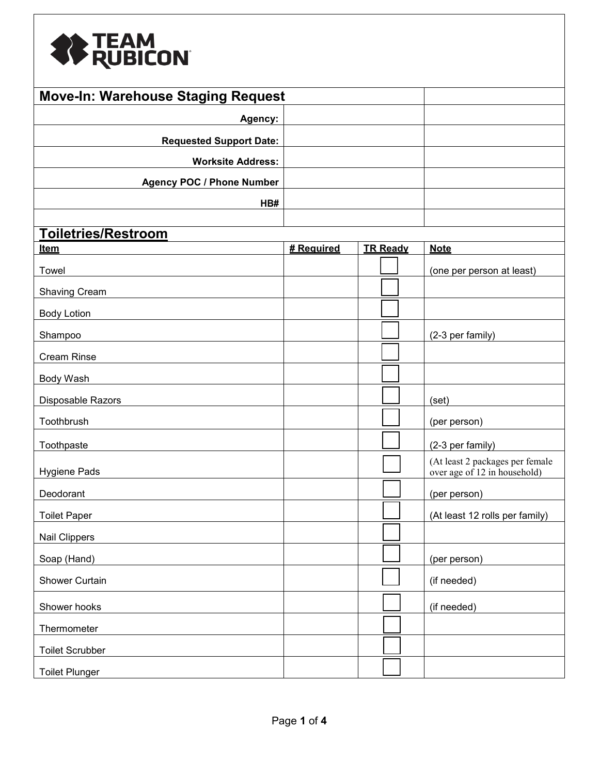

| <b>Move-In: Warehouse Staging Request</b> |            |                 |                                                                 |
|-------------------------------------------|------------|-----------------|-----------------------------------------------------------------|
| Agency:                                   |            |                 |                                                                 |
| <b>Requested Support Date:</b>            |            |                 |                                                                 |
| <b>Worksite Address:</b>                  |            |                 |                                                                 |
| <b>Agency POC / Phone Number</b>          |            |                 |                                                                 |
| HB#                                       |            |                 |                                                                 |
|                                           |            |                 |                                                                 |
| <b>Toiletries/Restroom</b>                |            |                 |                                                                 |
| <b>Item</b>                               | # Reauired | <b>TR Ready</b> | <b>Note</b>                                                     |
| Towel                                     |            |                 | (one per person at least)                                       |
| <b>Shaving Cream</b>                      |            |                 |                                                                 |
| <b>Body Lotion</b>                        |            |                 |                                                                 |
| Shampoo                                   |            |                 | (2-3 per family)                                                |
| Cream Rinse                               |            |                 |                                                                 |
| Body Wash                                 |            |                 |                                                                 |
| Disposable Razors                         |            |                 | (set)                                                           |
| Toothbrush                                |            |                 | (per person)                                                    |
| Toothpaste                                |            |                 | (2-3 per family)                                                |
| Hygiene Pads                              |            |                 | (At least 2 packages per female<br>over age of 12 in household) |
| Deodorant                                 |            |                 | (per person)                                                    |
| Toilet Paper                              |            |                 | (At least 12 rolls per family)                                  |
| Nail Clippers                             |            |                 |                                                                 |
| Soap (Hand)                               |            |                 | (per person)                                                    |
| <b>Shower Curtain</b>                     |            |                 | (if needed)                                                     |
| Shower hooks                              |            |                 | (if needed)                                                     |
| Thermometer                               |            |                 |                                                                 |
| <b>Toilet Scrubber</b>                    |            |                 |                                                                 |
| <b>Toilet Plunger</b>                     |            |                 |                                                                 |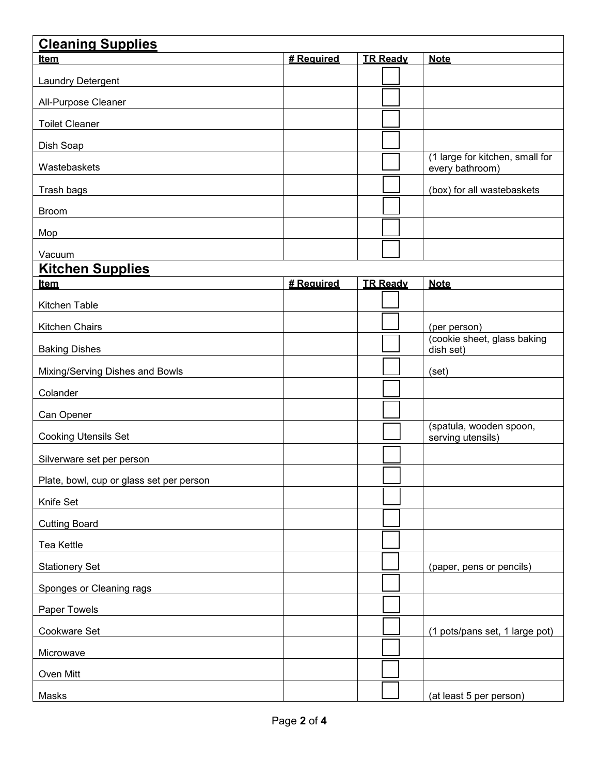| <b>Cleaning Supplies</b>                 |            |                 |                                                    |
|------------------------------------------|------------|-----------------|----------------------------------------------------|
| <u>Item</u>                              | # Reauired | <b>TR Ready</b> | <b>Note</b>                                        |
| Laundry Detergent                        |            |                 |                                                    |
| All-Purpose Cleaner                      |            |                 |                                                    |
| <b>Toilet Cleaner</b>                    |            |                 |                                                    |
| Dish Soap                                |            |                 |                                                    |
| Wastebaskets                             |            |                 | (1 large for kitchen, small for<br>every bathroom) |
| Trash bags                               |            |                 | (box) for all wastebaskets                         |
| <b>Broom</b>                             |            |                 |                                                    |
| Mop                                      |            |                 |                                                    |
| Vacuum                                   |            |                 |                                                    |
| <b>Kitchen Supplies</b>                  |            |                 |                                                    |
| Item                                     | # Required | <b>TR Ready</b> | <b>Note</b>                                        |
| Kitchen Table                            |            |                 |                                                    |
| Kitchen Chairs                           |            |                 | (per person)                                       |
| <b>Baking Dishes</b>                     |            |                 | (cookie sheet, glass baking<br>dish set)           |
| Mixing/Serving Dishes and Bowls          |            |                 | (set)                                              |
| Colander                                 |            |                 |                                                    |
| Can Opener                               |            |                 |                                                    |
| <b>Cooking Utensils Set</b>              |            |                 | (spatula, wooden spoon,<br>serving utensils)       |
| Silverware set per person                |            |                 |                                                    |
| Plate, bowl, cup or glass set per person |            |                 |                                                    |
| Knife Set                                |            |                 |                                                    |
| <b>Cutting Board</b>                     |            |                 |                                                    |
| Tea Kettle                               |            |                 |                                                    |
| <b>Stationery Set</b>                    |            |                 | (paper, pens or pencils)                           |
| Sponges or Cleaning rags                 |            |                 |                                                    |
| Paper Towels                             |            |                 |                                                    |
| Cookware Set                             |            |                 | (1 pots/pans set, 1 large pot)                     |
| Microwave                                |            |                 |                                                    |
| Oven Mitt                                |            |                 |                                                    |
| Masks                                    |            |                 | (at least 5 per person)                            |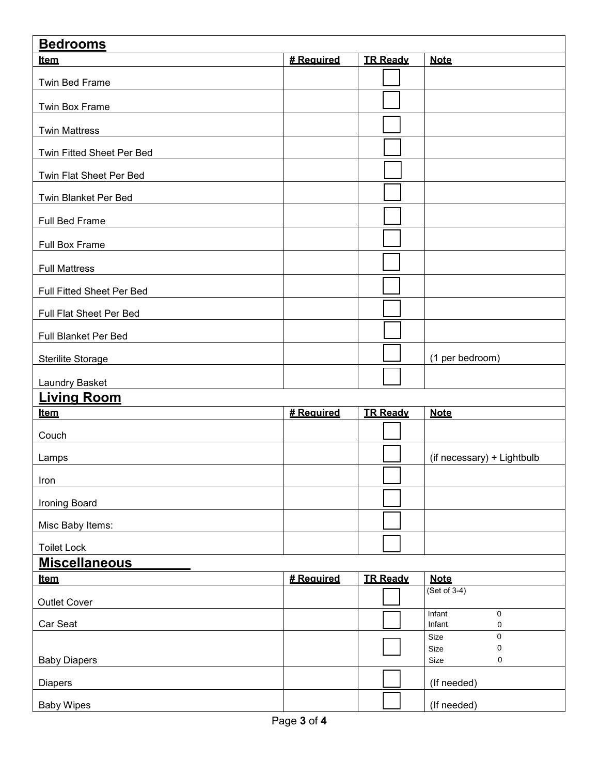| <b>Bedrooms</b>           |            |                 |                                             |  |  |
|---------------------------|------------|-----------------|---------------------------------------------|--|--|
| <b>Item</b>               | # Required | <b>TR Ready</b> | <b>Note</b>                                 |  |  |
| Twin Bed Frame            |            |                 |                                             |  |  |
| Twin Box Frame            |            |                 |                                             |  |  |
| <b>Twin Mattress</b>      |            |                 |                                             |  |  |
| Twin Fitted Sheet Per Bed |            |                 |                                             |  |  |
| Twin Flat Sheet Per Bed   |            |                 |                                             |  |  |
| Twin Blanket Per Bed      |            |                 |                                             |  |  |
| Full Bed Frame            |            |                 |                                             |  |  |
| <b>Full Box Frame</b>     |            |                 |                                             |  |  |
| <b>Full Mattress</b>      |            |                 |                                             |  |  |
| Full Fitted Sheet Per Bed |            |                 |                                             |  |  |
| Full Flat Sheet Per Bed   |            |                 |                                             |  |  |
| Full Blanket Per Bed      |            |                 |                                             |  |  |
| <b>Sterilite Storage</b>  |            |                 | (1 per bedroom)                             |  |  |
| Laundry Basket            |            |                 |                                             |  |  |
| <b>Living Room</b>        |            |                 |                                             |  |  |
| Item                      | # Reauired | <b>TR Ready</b> | <b>Note</b>                                 |  |  |
| Couch                     |            |                 |                                             |  |  |
| Lamps                     |            |                 | (if necessary) + Lightbulb                  |  |  |
| Iron                      |            |                 |                                             |  |  |
| Ironing Board             |            |                 |                                             |  |  |
| Misc Baby Items:          |            |                 |                                             |  |  |
| <b>Toilet Lock</b>        |            |                 |                                             |  |  |
| <b>Miscellaneous</b>      |            |                 |                                             |  |  |
| <u>Item</u>               | # Required | <b>TR Ready</b> | <b>Note</b>                                 |  |  |
| <b>Outlet Cover</b>       |            |                 | $(Set of 3-4)$                              |  |  |
| Car Seat                  |            |                 | <b>Infant</b><br>$\mathbf 0$<br>Infant<br>0 |  |  |
|                           |            |                 | $\pmb{0}$<br>Size<br>0<br>Size              |  |  |
| <b>Baby Diapers</b>       |            |                 | Size<br>0                                   |  |  |
| <b>Diapers</b>            |            |                 | (If needed)                                 |  |  |
| <b>Baby Wipes</b>         |            |                 | (If needed)                                 |  |  |